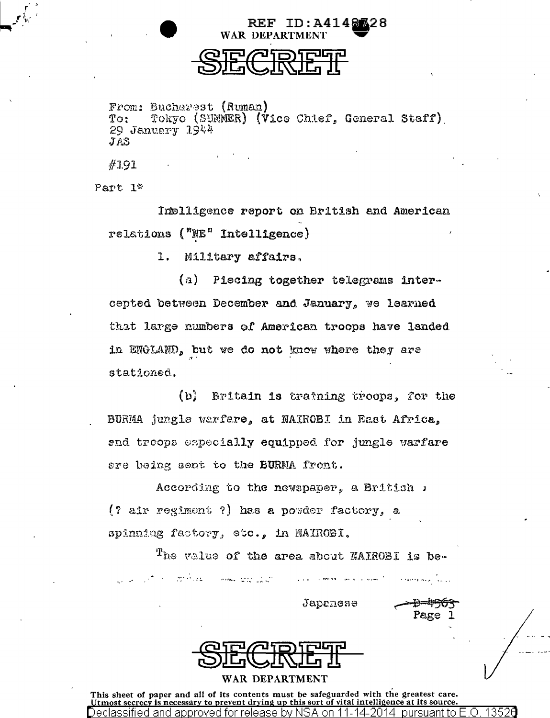

REF ID: A4148328

From: Bucharest (Ruman) Tokyo (SUMMER) (Vice Chief, General Staff)  $T_{\Omega}$ :  $29$  January  $1944$  $JAS$ 

#191

Part 1\*

Intelligence report on British and American relations ("NE" Intelligence)

> 1. Military affairs.

(a) Piecing together telegrams intercepted between December and January, we learned that large numbers of American troops have landed in ENGLAND, but we do not know where they are stationed.

 $\{b\}$ Britain is training troops, for the BURMA jungle warfere, at NAIROBI in East Africa. and troops especially equipped for jungle warfare are being sent to the BURMA front.

According to the newspaper, a British , (? air regiment ?) has a powder factory, a spinning factory, etc., in NAIROBI.

The value of the area about NAIROBI is bea na karatan na karatan sa sangan na karatan na karatan sa karatan sa karatan sa karatan sa karatan sa karatan<br>Karatan sa karatan sa karatan sa karatan sa karatan sa karatan sa karatan sa karatan sa karatan sa karatan sa

Japenese

Pagé



## WAR DEPARTMENT

This sheet of paper and all of its contents must be safeguarded with the greatest care. Utmost secrecy is necessary to prevent drying up this sort of vital intelligence at its source. Declassified and approved for release by